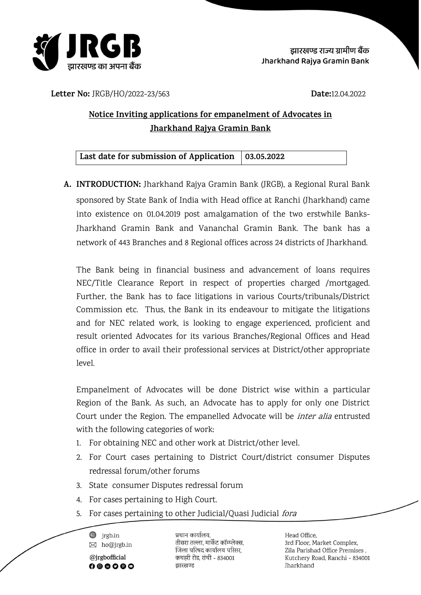

**Letter No:** JRGB/HO/2022-23/563 **Date:**12.04.2022

## **Notice Inviting applications for empanelment of Advocates in Jharkhand Rajya Gramin Bank**

| Last date for submission of Application   03.05.2022 |  |  |
|------------------------------------------------------|--|--|
|------------------------------------------------------|--|--|

**A. INTRODUCTION:** Jharkhand Rajya Gramin Bank (JRGB), a Regional Rural Bank sponsored by State Bank of India with Head office at Ranchi (Jharkhand) came into existence on 01.04.2019 post amalgamation of the two erstwhile Banks-Jharkhand Gramin Bank and Vananchal Gramin Bank. The bank has a network of 443 Branches and 8 Regional offices across 24 districts of Jharkhand.

The Bank being in financial business and advancement of loans requires NEC/Title Clearance Report in respect of properties charged /mortgaged. Further, the Bank has to face litigations in various Courts/tribunals/District Commission etc. Thus, the Bank in its endeavour to mitigate the litigations and for NEC related work, is looking to engage experienced, proficient and result oriented Advocates for its various Branches/Regional Offices and Head office in order to avail their professional services at District/other appropriate level.

Empanelment of Advocates will be done District wise within a particular Region of the Bank. As such, an Advocate has to apply for only one District Court under the Region. The empanelled Advocate will be *inter alia* entrusted with the following categories of work:

- 1. For obtaining NEC and other work at District/other level.
- 2. For Court cases pertaining to District Court/district consumer Disputes redressal forum/other forums
- 3. State consumer Disputes redressal forum
- 4. For cases pertaining to High Court.
- 5. For cases pertaining to other Judicial/Quasi Judicial fora

 $\circledast$  jrgb.in  $\boxtimes$  ho@jrgb.in @jrgbofficial 

प्रधान कार्यालय. तीसरा तल्ला, मार्केट कॉम्प्लेक्स, जिला परिषद कार्यालय परिसर. कचहरी रोड. रांची - 834001 झारखण्ड

Head Office. 3rd Floor, Market Complex, Zila Parishad Office Premises, Kutchery Road, Ranchi - 834001 **Iharkhand**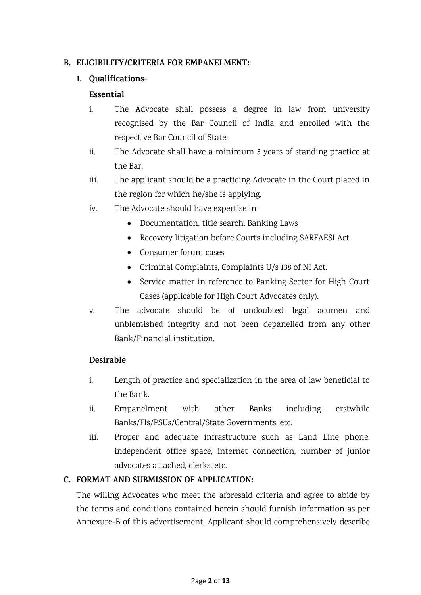#### **B. ELIGIBILITY/CRITERIA FOR EMPANELMENT:**

#### **1. Qualifications-**

#### **Essential**

- i. The Advocate shall possess a degree in law from university recognised by the Bar Council of India and enrolled with the respective Bar Council of State.
- ii. The Advocate shall have a minimum 5 years of standing practice at the Bar.
- iii. The applicant should be a practicing Advocate in the Court placed in the region for which he/she is applying.
- iv. The Advocate should have expertise in-
	- Documentation, title search, Banking Laws
	- Recovery litigation before Courts including SARFAESI Act
	- Consumer forum cases
	- Criminal Complaints, Complaints U/s 138 of NI Act.
	- Service matter in reference to Banking Sector for High Court Cases (applicable for High Court Advocates only).
- v. The advocate should be of undoubted legal acumen and unblemished integrity and not been depanelled from any other Bank/Financial institution.

#### **Desirable**

- i. Length of practice and specialization in the area of law beneficial to the Bank.
- ii. Empanelment with other Banks including erstwhile Banks/FIs/PSUs/Central/State Governments, etc.
- iii. Proper and adequate infrastructure such as Land Line phone, independent office space, internet connection, number of junior advocates attached, clerks, etc.

#### **C. FORMAT AND SUBMISSION OF APPLICATION:**

The willing Advocates who meet the aforesaid criteria and agree to abide by the terms and conditions contained herein should furnish information as per Annexure-B of this advertisement. Applicant should comprehensively describe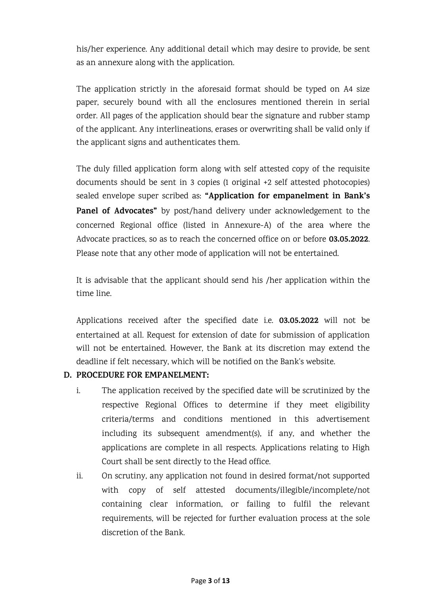his/her experience. Any additional detail which may desire to provide, be sent as an annexure along with the application.

The application strictly in the aforesaid format should be typed on A4 size paper, securely bound with all the enclosures mentioned therein in serial order. All pages of the application should bear the signature and rubber stamp of the applicant. Any interlineations, erases or overwriting shall be valid only if the applicant signs and authenticates them.

The duly filled application form along with self attested copy of the requisite documents should be sent in 3 copies (1 original +2 self attested photocopies) sealed envelope super scribed as: **"Application for empanelment in Bank's Panel of Advocates"** by post/hand delivery under acknowledgement to the concerned Regional office (listed in Annexure-A) of the area where the Advocate practices, so as to reach the concerned office on or before **03.05.2022**. Please note that any other mode of application will not be entertained.

It is advisable that the applicant should send his /her application within the time line.

Applications received after the specified date i.e. **03.05.2022** will not be entertained at all. Request for extension of date for submission of application will not be entertained. However, the Bank at its discretion may extend the deadline if felt necessary, which will be notified on the Bank's website.

#### **D. PROCEDURE FOR EMPANELMENT:**

- i. The application received by the specified date will be scrutinized by the respective Regional Offices to determine if they meet eligibility criteria/terms and conditions mentioned in this advertisement including its subsequent amendment(s), if any, and whether the applications are complete in all respects. Applications relating to High Court shall be sent directly to the Head office.
- ii. On scrutiny, any application not found in desired format/not supported with copy of self attested documents/illegible/incomplete/not containing clear information, or failing to fulfil the relevant requirements, will be rejected for further evaluation process at the sole discretion of the Bank.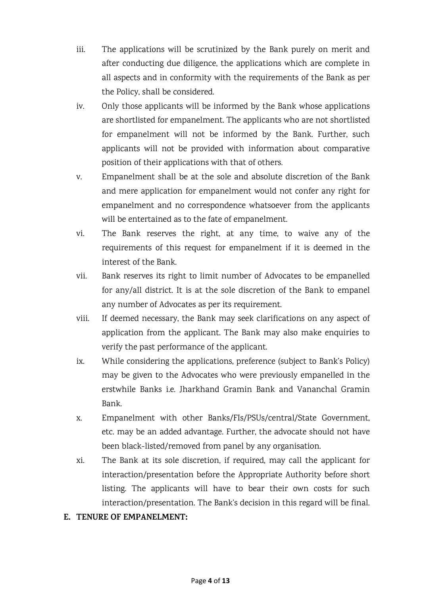- iii. The applications will be scrutinized by the Bank purely on merit and after conducting due diligence, the applications which are complete in all aspects and in conformity with the requirements of the Bank as per the Policy, shall be considered.
- iv. Only those applicants will be informed by the Bank whose applications are shortlisted for empanelment. The applicants who are not shortlisted for empanelment will not be informed by the Bank. Further, such applicants will not be provided with information about comparative position of their applications with that of others.
- v. Empanelment shall be at the sole and absolute discretion of the Bank and mere application for empanelment would not confer any right for empanelment and no correspondence whatsoever from the applicants will be entertained as to the fate of empanelment.
- vi. The Bank reserves the right, at any time, to waive any of the requirements of this request for empanelment if it is deemed in the interest of the Bank.
- vii. Bank reserves its right to limit number of Advocates to be empanelled for any/all district. It is at the sole discretion of the Bank to empanel any number of Advocates as per its requirement.
- viii. If deemed necessary, the Bank may seek clarifications on any aspect of application from the applicant. The Bank may also make enquiries to verify the past performance of the applicant.
- ix. While considering the applications, preference (subject to Bank's Policy) may be given to the Advocates who were previously empanelled in the erstwhile Banks i.e. Jharkhand Gramin Bank and Vananchal Gramin Bank.
- x. Empanelment with other Banks/FIs/PSUs/central/State Government, etc. may be an added advantage. Further, the advocate should not have been black-listed/removed from panel by any organisation.
- xi. The Bank at its sole discretion, if required, may call the applicant for interaction/presentation before the Appropriate Authority before short listing. The applicants will have to bear their own costs for such interaction/presentation. The Bank's decision in this regard will be final.

#### **E. TENURE OF EMPANELMENT:**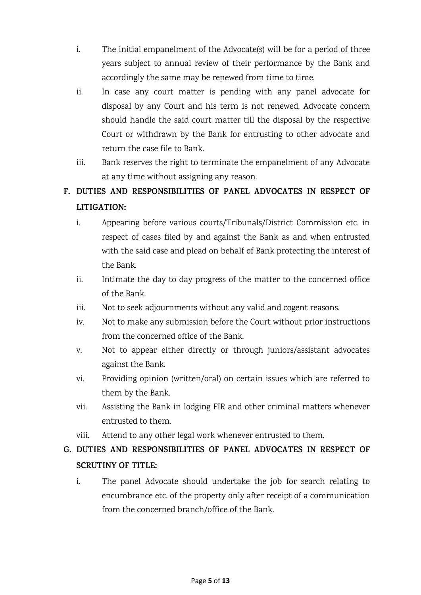- i. The initial empanelment of the Advocate(s) will be for a period of three years subject to annual review of their performance by the Bank and accordingly the same may be renewed from time to time.
- ii. In case any court matter is pending with any panel advocate for disposal by any Court and his term is not renewed, Advocate concern should handle the said court matter till the disposal by the respective Court or withdrawn by the Bank for entrusting to other advocate and return the case file to Bank.
- iii. Bank reserves the right to terminate the empanelment of any Advocate at any time without assigning any reason.

# **F. DUTIES AND RESPONSIBILITIES OF PANEL ADVOCATES IN RESPECT OF LITIGATION:**

- i. Appearing before various courts/Tribunals/District Commission etc. in respect of cases filed by and against the Bank as and when entrusted with the said case and plead on behalf of Bank protecting the interest of the Bank.
- ii. Intimate the day to day progress of the matter to the concerned office of the Bank.
- iii. Not to seek adjournments without any valid and cogent reasons.
- iv. Not to make any submission before the Court without prior instructions from the concerned office of the Bank.
- v. Not to appear either directly or through juniors/assistant advocates against the Bank.
- vi. Providing opinion (written/oral) on certain issues which are referred to them by the Bank.
- vii. Assisting the Bank in lodging FIR and other criminal matters whenever entrusted to them.
- viii. Attend to any other legal work whenever entrusted to them.

# **G. DUTIES AND RESPONSIBILITIES OF PANEL ADVOCATES IN RESPECT OF SCRUTINY OF TITLE:**

i. The panel Advocate should undertake the job for search relating to encumbrance etc. of the property only after receipt of a communication from the concerned branch/office of the Bank.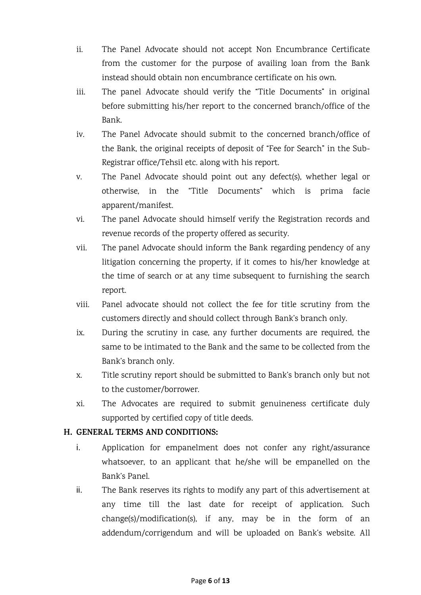- ii. The Panel Advocate should not accept Non Encumbrance Certificate from the customer for the purpose of availing loan from the Bank instead should obtain non encumbrance certificate on his own.
- iii. The panel Advocate should verify the "Title Documents" in original before submitting his/her report to the concerned branch/office of the Bank.
- iv. The Panel Advocate should submit to the concerned branch/office of the Bank, the original receipts of deposit of "Fee for Search" in the Sub-Registrar office/Tehsil etc. along with his report.
- v. The Panel Advocate should point out any defect(s), whether legal or otherwise, in the "Title Documents" which is prima facie apparent/manifest.
- vi. The panel Advocate should himself verify the Registration records and revenue records of the property offered as security.
- vii. The panel Advocate should inform the Bank regarding pendency of any litigation concerning the property, if it comes to his/her knowledge at the time of search or at any time subsequent to furnishing the search report.
- viii. Panel advocate should not collect the fee for title scrutiny from the customers directly and should collect through Bank's branch only.
- ix. During the scrutiny in case, any further documents are required, the same to be intimated to the Bank and the same to be collected from the Bank's branch only.
- x. Title scrutiny report should be submitted to Bank's branch only but not to the customer/borrower.
- xi. The Advocates are required to submit genuineness certificate duly supported by certified copy of title deeds.

#### **H. GENERAL TERMS AND CONDITIONS:**

- i. Application for empanelment does not confer any right/assurance whatsoever, to an applicant that he/she will be empanelled on the Bank's Panel.
- ii. The Bank reserves its rights to modify any part of this advertisement at any time till the last date for receipt of application. Such change(s)/modification(s), if any, may be in the form of an addendum/corrigendum and will be uploaded on Bank's website. All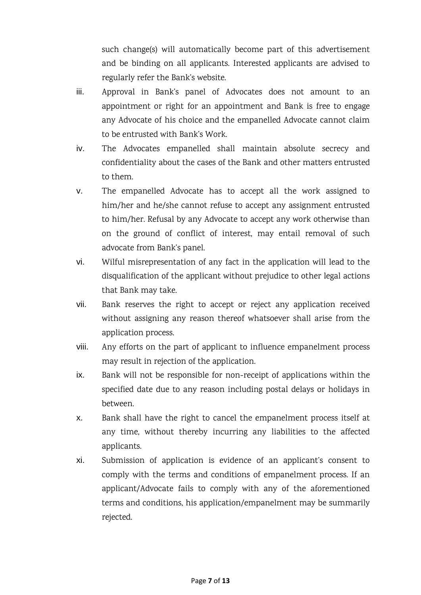such change(s) will automatically become part of this advertisement and be binding on all applicants. Interested applicants are advised to regularly refer the Bank's website.

- iii. Approval in Bank's panel of Advocates does not amount to an appointment or right for an appointment and Bank is free to engage any Advocate of his choice and the empanelled Advocate cannot claim to be entrusted with Bank's Work.
- iv. The Advocates empanelled shall maintain absolute secrecy and confidentiality about the cases of the Bank and other matters entrusted to them.
- v. The empanelled Advocate has to accept all the work assigned to him/her and he/she cannot refuse to accept any assignment entrusted to him/her. Refusal by any Advocate to accept any work otherwise than on the ground of conflict of interest, may entail removal of such advocate from Bank's panel.
- vi. Wilful misrepresentation of any fact in the application will lead to the disqualification of the applicant without prejudice to other legal actions that Bank may take.
- vii. Bank reserves the right to accept or reject any application received without assigning any reason thereof whatsoever shall arise from the application process.
- viii. Any efforts on the part of applicant to influence empanelment process may result in rejection of the application.
- ix. Bank will not be responsible for non-receipt of applications within the specified date due to any reason including postal delays or holidays in between.
- x. Bank shall have the right to cancel the empanelment process itself at any time, without thereby incurring any liabilities to the affected applicants.
- xi. Submission of application is evidence of an applicant's consent to comply with the terms and conditions of empanelment process. If an applicant/Advocate fails to comply with any of the aforementioned terms and conditions, his application/empanelment may be summarily rejected.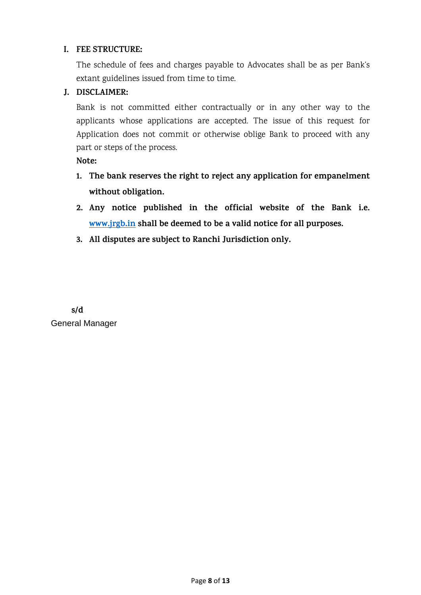#### **I. FEE STRUCTURE:**

The schedule of fees and charges payable to Advocates shall be as per Bank's extant guidelines issued from time to time.

#### **J. DISCLAIMER:**

Bank is not committed either contractually or in any other way to the applicants whose applications are accepted. The issue of this request for Application does not commit or otherwise oblige Bank to proceed with any part or steps of the process.

**Note:** 

- **1. The bank reserves the right to reject any application for empanelment without obligation.**
- **2. Any notice published in the official website of the Bank i.e. [www.jrgb.in](http://www.jrgb.in/) shall be deemed to be a valid notice for all purposes.**
- **3. All disputes are subject to Ranchi Jurisdiction only.**

**s/d** General Manager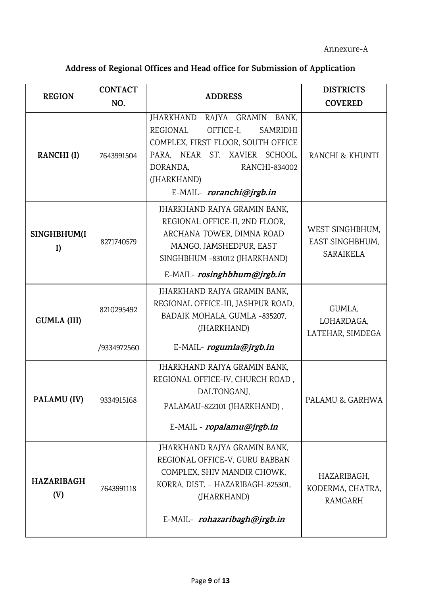### Annexure-A

# **Address of Regional Offices and Head office for Submission of Application**

|                          | <b>CONTACT</b>            |                                                                                                                                                                                                                     | <b>DISTRICTS</b>                                |
|--------------------------|---------------------------|---------------------------------------------------------------------------------------------------------------------------------------------------------------------------------------------------------------------|-------------------------------------------------|
| <b>REGION</b>            | NO.                       | <b>ADDRESS</b>                                                                                                                                                                                                      | <b>COVERED</b>                                  |
| RANCHI (I)               | 7643991504                | JHARKHAND RAJYA GRAMIN<br>BANK,<br>REGIONAL<br>OFFICE-I.<br>SAMRIDHI<br>COMPLEX, FIRST FLOOR, SOUTH OFFICE<br>PARA, NEAR ST. XAVIER SCHOOL,<br>DORANDA,<br>RANCHI-834002<br>(JHARKHAND)<br>E-MAIL- roranchi@jrgb.in | RANCHI & KHUNTI                                 |
| SINGHBHUM(I<br>I)        | 8271740579                | JHARKHAND RAJYA GRAMIN BANK,<br>REGIONAL OFFICE-II, 2ND FLOOR,<br>ARCHANA TOWER, DIMNA ROAD<br>MANGO, JAMSHEDPUR, EAST<br>SINGHBHUM -831012 (JHARKHAND)<br>E-MAIL- rosinghbhum@jrgb.in                              | WEST SINGHBHUM.<br>EAST SINGHBHUM,<br>SARAIKELA |
| <b>GUMLA (III)</b>       | 8210295492<br>/9334972560 | JHARKHAND RAJYA GRAMIN BANK,<br>REGIONAL OFFICE-III, JASHPUR ROAD,<br>BADAIK MOHALA, GUMLA -835207,<br>(JHARKHAND)<br>E-MAIL- rogumla@jrgb.in                                                                       | GUMLA,<br>LOHARDAGA,<br>LATEHAR, SIMDEGA        |
| PALAMU (IV)              | 9334915168                | JHARKHAND RAJYA GRAMIN BANK,<br>REGIONAL OFFICE-IV, CHURCH ROAD,<br>DALTONGANJ.<br>PALAMAU-822101 (JHARKHAND),<br>E-MAIL - ropalamu@jrgb.in                                                                         | PALAMU & GARHWA                                 |
| <b>HAZARIBAGH</b><br>(V) | 7643991118                | JHARKHAND RAJYA GRAMIN BANK,<br>REGIONAL OFFICE-V, GURU BABBAN<br>COMPLEX, SHIV MANDIR CHOWK,<br>KORRA, DIST. - HAZARIBAGH-825301,<br>(JHARKHAND)<br>E-MAIL- rohazaribagh@jrgb.in                                   | HAZARIBAGH,<br>KODERMA, CHATRA,<br>RAMGARH      |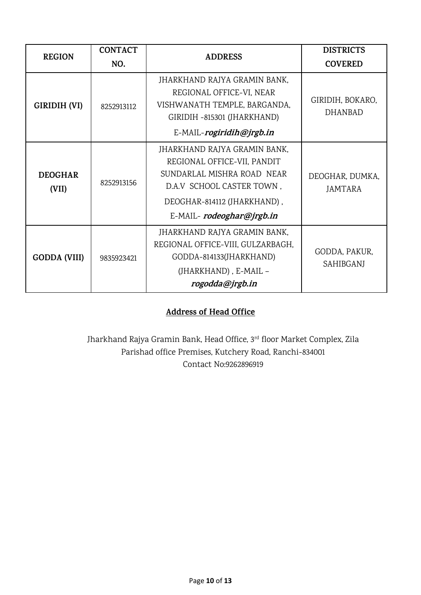| <b>REGION</b>                                                                                                                                                                 | <b>CONTACT</b><br>NO. | <b>ADDRESS</b>                                                                                                                                                                    | <b>DISTRICTS</b><br><b>COVERED</b> |
|-------------------------------------------------------------------------------------------------------------------------------------------------------------------------------|-----------------------|-----------------------------------------------------------------------------------------------------------------------------------------------------------------------------------|------------------------------------|
| GIRIDIH (VI)                                                                                                                                                                  | 8252913112            | JHARKHAND RAJYA GRAMIN BANK,<br>REGIONAL OFFICE-VI, NEAR<br>VISHWANATH TEMPLE, BARGANDA,<br>GIRIDIH -815301 (JHARKHAND)<br>E-MAIL-rogiridih@jrgb.in                               | GIRIDIH, BOKARO,<br><b>DHANBAD</b> |
| <b>DEOGHAR</b><br>(VII)                                                                                                                                                       | 8252913156            | JHARKHAND RAJYA GRAMIN BANK,<br>REGIONAL OFFICE-VII, PANDIT<br>SUNDARLAL MISHRA ROAD NEAR<br>D.A.V SCHOOL CASTER TOWN,<br>DEOGHAR-814112 (JHARKHAND),<br>E-MAIL-rodeoghar@jrgb.in | DEOGHAR, DUMKA,<br>JAMTARA         |
| JHARKHAND RAJYA GRAMIN BANK,<br>REGIONAL OFFICE-VIII, GULZARBAGH,<br>GODDA-814133(JHARKHAND)<br><b>GODDA (VIII)</b><br>9835923421<br>(JHARKHAND), E-MAIL -<br>rogodda@jrgb.in |                       | GODDA, PAKUR,<br>SAHIBGANJ                                                                                                                                                        |                                    |

### **Address of Head Office**

Jharkhand Rajya Gramin Bank, Head Office, 3rd floor Market Complex, Zila Parishad office Premises, Kutchery Road, Ranchi-834001 Contact No:9262896919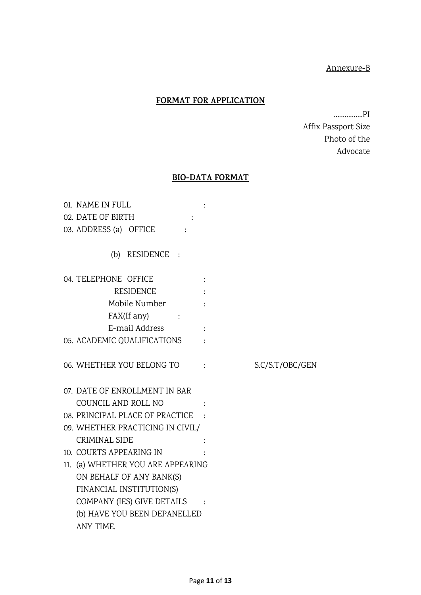### Annexure-B

### **FORMAT FOR APPLICATION**

…………….PI Affix Passport Size Photo of the Advocate

#### **BIO-DATA FORMAT**

| 01. NAME IN FULL                  |                 |
|-----------------------------------|-----------------|
| 02. DATE OF BIRTH                 |                 |
| 03. ADDRESS (a) OFFICE            |                 |
| (b) RESIDENCE :                   |                 |
| 04. TELEPHONE OFFICE              |                 |
| RESIDENCE                         |                 |
| Mobile Number                     |                 |
| FAX(If any)                       |                 |
| E-mail Address                    |                 |
| 05. ACADEMIC QUALIFICATIONS       |                 |
| 06. WHETHER YOU BELONG TO         | S.C/S.T/OBC/GEN |
| 07. DATE OF ENROLLMENT IN BAR     |                 |
| COUNCIL AND ROLL NO               |                 |
| 08. PRINCIPAL PLACE OF PRACTICE : |                 |
| 09. WHETHER PRACTICING IN CIVIL/  |                 |
| CRIMINAL SIDE                     |                 |
| 10. COURTS APPEARING IN           |                 |
| 11. (a) WHETHER YOU ARE APPEARING |                 |
| ON BEHALF OF ANY BANK(S)          |                 |
| FINANCIAL INSTITUTION(S)          |                 |
| COMPANY (IES) GIVE DETAILS :      |                 |
| (b) HAVE YOU BEEN DEPANELLED      |                 |
| ANY TIME.                         |                 |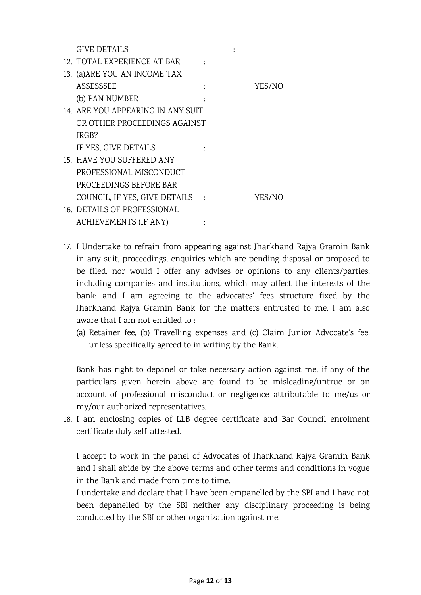GIVE DETAILS :  $\qquad \qquad$ 

| 12. TOTAL EXPERIENCE AT BAR       |                 |        |
|-----------------------------------|-----------------|--------|
| 13. (a) ARE YOU AN INCOME TAX     |                 |        |
| <b>ASSESSSEE</b>                  |                 | YES/NO |
| (b) PAN NUMBER                    |                 |        |
| 14. ARE YOU APPEARING IN ANY SUIT |                 |        |
| OR OTHER PROCEEDINGS AGAINST      |                 |        |
| JRGB?                             |                 |        |
| IF YES, GIVE DETAILS              |                 |        |
| 15. HAVE YOU SUFFERED ANY         |                 |        |
| PROFESSIONAL MISCONDUCT           |                 |        |
| PROCEEDINGS BEFORE BAR            |                 |        |
| COUNCIL, IF YES, GIVE DETAILS     | $\sim$ 10 $\pm$ | YES/NO |
| 16. DETAILS OF PROFESSIONAL       |                 |        |
| <b>ACHIEVEMENTS (IF ANY)</b>      |                 |        |

- 17. I Undertake to refrain from appearing against Jharkhand Rajya Gramin Bank in any suit, proceedings, enquiries which are pending disposal or proposed to be filed, nor would I offer any advises or opinions to any clients/parties, including companies and institutions, which may affect the interests of the bank; and I am agreeing to the advocates' fees structure fixed by the Jharkhand Rajya Gramin Bank for the matters entrusted to me. I am also aware that I am not entitled to :
	- (a) Retainer fee, (b) Travelling expenses and (c) Claim Junior Advocate's fee, unless specifically agreed to in writing by the Bank.

Bank has right to depanel or take necessary action against me, if any of the particulars given herein above are found to be misleading/untrue or on account of professional misconduct or negligence attributable to me/us or my/our authorized representatives.

18. I am enclosing copies of LLB degree certificate and Bar Council enrolment certificate duly self-attested.

I accept to work in the panel of Advocates of Jharkhand Rajya Gramin Bank and I shall abide by the above terms and other terms and conditions in vogue in the Bank and made from time to time.

I undertake and declare that I have been empanelled by the SBI and I have not been depanelled by the SBI neither any disciplinary proceeding is being conducted by the SBI or other organization against me.